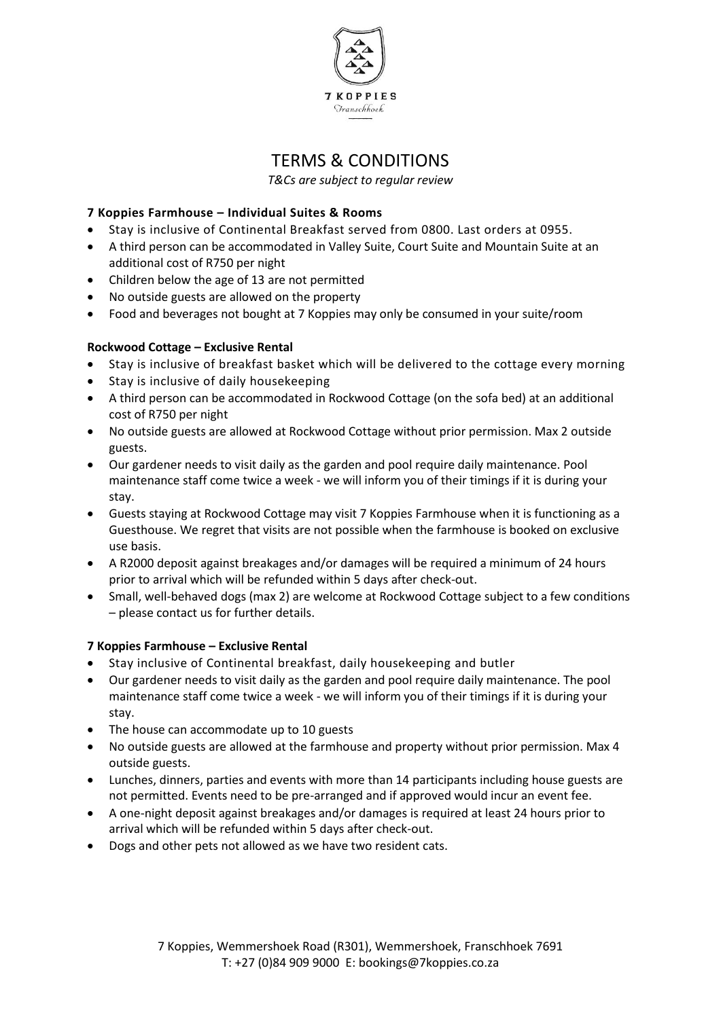

# TERMS & CONDITIONS

*T&Cs are subject to regular review*

# **7 Koppies Farmhouse – Individual Suites & Rooms**

- Stay is inclusive of Continental Breakfast served from 0800. Last orders at 0955.
- A third person can be accommodated in Valley Suite, Court Suite and Mountain Suite at an additional cost of R750 per night
- Children below the age of 13 are not permitted
- No outside guests are allowed on the property
- Food and beverages not bought at 7 Koppies may only be consumed in your suite/room

## **Rockwood Cottage – Exclusive Rental**

- Stay is inclusive of breakfast basket which will be delivered to the cottage every morning
- Stay is inclusive of daily housekeeping
- A third person can be accommodated in Rockwood Cottage (on the sofa bed) at an additional cost of R750 per night
- No outside guests are allowed at Rockwood Cottage without prior permission. Max 2 outside guests.
- Our gardener needs to visit daily as the garden and pool require daily maintenance. Pool maintenance staff come twice a week - we will inform you of their timings if it is during your stay.
- Guests staying at Rockwood Cottage may visit 7 Koppies Farmhouse when it is functioning as a Guesthouse. We regret that visits are not possible when the farmhouse is booked on exclusive use basis.
- A R2000 deposit against breakages and/or damages will be required a minimum of 24 hours prior to arrival which will be refunded within 5 days after check-out.
- Small, well-behaved dogs (max 2) are welcome at Rockwood Cottage subject to a few conditions – please contact us for further details.

## **7 Koppies Farmhouse – Exclusive Rental**

- Stay inclusive of Continental breakfast, daily housekeeping and butler
- Our gardener needs to visit daily as the garden and pool require daily maintenance. The pool maintenance staff come twice a week - we will inform you of their timings if it is during your stay.
- The house can accommodate up to 10 guests
- No outside guests are allowed at the farmhouse and property without prior permission. Max 4 outside guests.
- Lunches, dinners, parties and events with more than 14 participants including house guests are not permitted. Events need to be pre-arranged and if approved would incur an event fee.
- A one-night deposit against breakages and/or damages is required at least 24 hours prior to arrival which will be refunded within 5 days after check-out.
- Dogs and other pets not allowed as we have two resident cats.